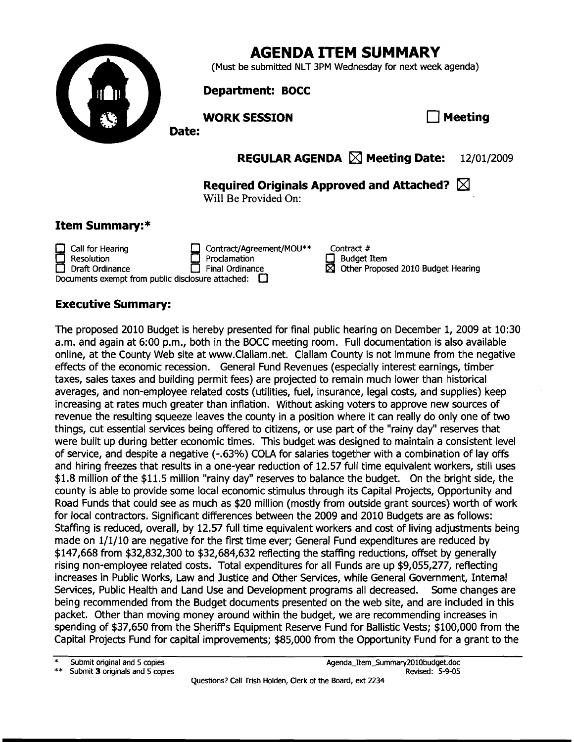

# **AGENDA ITEM SUMMARY**

(Must be submitted NLT 3PM Wednesday for next week agenda)

#### **Department:** BOCC

#### **WORK SESSION CONSUMING A MEETING ASSESSION**

**REGULAR AGENDA** [X1 **Meeting Date:** 12/01/2009

**Required Originals Approved and Attached?** 

Will Be Provided On:

### **Item Summary:\***

Call for Hearing **Contract/Agreement/MOU\*\***<br>
Resolution **Contract/Agreement/MOU\*\*** Proclamation<br>Final Ordinance Draft Ordinance Final Ordinance Other Proposed 2010 Budget Hearing Documents exempt from public disclosure attached:  $\square$ 

Contract #  $\Box$  Budget Item

## **Executive Summary:**

The proposed 2010 Budget is hereby presented for final public hearing on December 1, 2009 at 10:30 a.m. and again at 6:00 p.m., both in the BOCC meeting room. Full documentation is also available online, at the County Web site at www.Clallam.net. Clallam County is not immune from the negative effects of the economic recession. General Fund Revenues (especially interest earnings, timber taxes, sales taxes and building permit fees) are projected to remain much lower than historical averages, and non-employee related costs (utilities, fuel, insurance, legal costs, and supplies) keep increasing at rates much greater than inflation. Without asking voters to approve new sources of revenue the resulting squeeze leaves the county in a position where it can really do only one of two things, cut essential services being offered to citizens, or use part of the "rainy day" reserves that were built up during better economic times. This budget was designed to maintain a consistent level of service, and despite a negative (-.63%) COLA for salaries together with a combination of lay offs and hiring freezes that results in a one-year reduction of 12.57 full time equivalent workers, still uses \$1.8 million of the \$11.5 million "rainy day" reserves to balance the budget. On the bright side, the county is able to provide some local economic stimulus through its Capital Projects, Opportunity and Road Funds that could see as much as \$20 million (mostly from outside grant sources) worth of work for local contractors. Significant differences between the 2009 and 2010 Budgets are as follows: Staffing is reduced, overall, by 12.57 full time equivalent workers and cost of living adjustments being made on 1/1/10 are negative for the first time ever; General Fund expenditures are reduced by \$147,668 from \$32,832,300 to \$32,684,632 reflecting the staffing reductions, offset by generally rising non-employee related costs. Total expenditures for all Funds are up \$9,055,277, reflecting increases in Public Works, Law and Justice and Other Services, while General Government, Internal Services, Public Health and Land Use and Development programs all decreased. Some changes are being recommended from the Budget documents presented on the web site, and are included in this packet. Other than moving money around within the budget, we are recommending increases in spending of \$37,650 from the Sheriffs Equipment Reserve Fund for Ballistic Vests; \$100,000 from the Capital Projects Fund for capitai improvements; \$85,000 from the Opportunity Fund for a grant to the